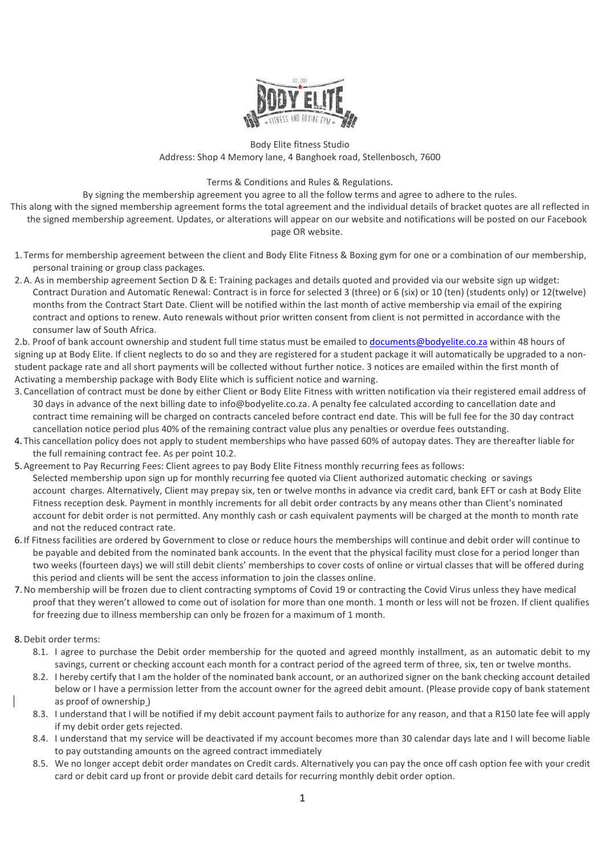

Body Elite fitness Studio Address: Shop 4 Memory lane, 4 Banghoek road, Stellenbosch, 7600

## Terms & Conditions and Rules & Regulations.

By signing the membership agreement you agree to all the follow terms and agree to adhere to the rules.

This along with the signed membership agreement forms the total agreement and the individual details of bracket quotes are all reflected in the signed membership agreement. Updates, or alterations will appear on our website and notifications will be posted on our Facebook page OR website.

- 1. Terms for membership agreement between the client and Body Elite Fitness & Boxing gym for one or a combination of our membership, personal training or group class packages.
- 2.A. As in membership agreement Section D & E: Training packages and details quoted and provided via our website sign up widget: Contract Duration and Automatic Renewal: Contract is in force for selected 3 (three) or 6 (six) or 10 (ten) (students only) or 12(twelve) months from the Contract Start Date. Client will be notified within the last month of active membership via email of the expiring contract and options to renew. Auto renewals without prior written consent from client is not permitted in accordance with the consumer law of South Africa.

2.b. Proof of bank account ownership and student full time status must be emailed to documents@bodyelite.co.za within 48 hours of signing up at Body Elite. If client neglects to do so and they are registered for a student package it will automatically be upgraded to a nonstudent package rate and all short payments will be collected without further notice. 3 notices are emailed within the first month of Activating a membership package with Body Elite which is sufficient notice and warning.

- 3. Cancellation of contract must be done by either Client or Body Elite Fitness with written notification via their registered email address of 30 days in advance of the next billing date to info@bodyelite.co.za. A penalty fee calculated according to cancellation date and contract time remaining will be charged on contracts canceled before contract end date. This will be full fee for the 30 day contract cancellation notice period plus 40% of the remaining contract value plus any penalties or overdue fees outstanding.
- 4. This cancellation policy does not apply to student memberships who have passed 60% of autopay dates. They are thereafter liable for the full remaining contract fee. As per point 10.2.
- 5.Agreement to Pay Recurring Fees: Client agrees to pay Body Elite Fitness monthly recurring fees as follows: Selected membership upon sign up for monthly recurring fee quoted via Client authorized automatic checking or savings account charges. Alternatively, Client may prepay six, ten or twelve months in advance via credit card, bank EFT or cash at Body Elite Fitness reception desk. Payment in monthly increments for all debit order contracts by any means other than Client's nominated account for debit order is not permitted. Any monthly cash or cash equivalent payments will be charged at the month to month rate and not the reduced contract rate.
- 6. If Fitness facilities are ordered by Government to close or reduce hours the memberships will continue and debit order will continue to be payable and debited from the nominated bank accounts. In the event that the physical facility must close for a period longer than two weeks (fourteen days) we will still debit clients' memberships to cover costs of online or virtual classes that will be offered during this period and clients will be sent the access information to join the classes online.
- 7.No membership will be frozen due to client contracting symptoms of Covid 19 or contracting the Covid Virus unless they have medical proof that they weren't allowed to come out of isolation for more than one month. 1 month or less will not be frozen. If client qualifies for freezing due to illness membership can only be frozen for a maximum of 1 month.
- 8.Debit order terms:
	- 8.1. I agree to purchase the Debit order membership for the quoted and agreed monthly installment, as an automatic debit to my savings, current or checking account each month for a contract period of the agreed term of three, six, ten or twelve months.
	- 8.2. I hereby certify that I am the holder of the nominated bank account, or an authorized signer on the bank checking account detailed below or I have a permission letter from the account owner for the agreed debit amount. (Please provide copy of bank statement as proof of ownership )
	- 8.3. I understand that I will be notified if my debit account payment fails to authorize for any reason, and that a R150 late fee will apply if my debit order gets rejected.
	- 8.4. I understand that my service will be deactivated if my account becomes more than 30 calendar days late and I will become liable to pay outstanding amounts on the agreed contract immediately
	- 8.5. We no longer accept debit order mandates on Credit cards. Alternatively you can pay the once off cash option fee with your credit card or debit card up front or provide debit card details for recurring monthly debit order option.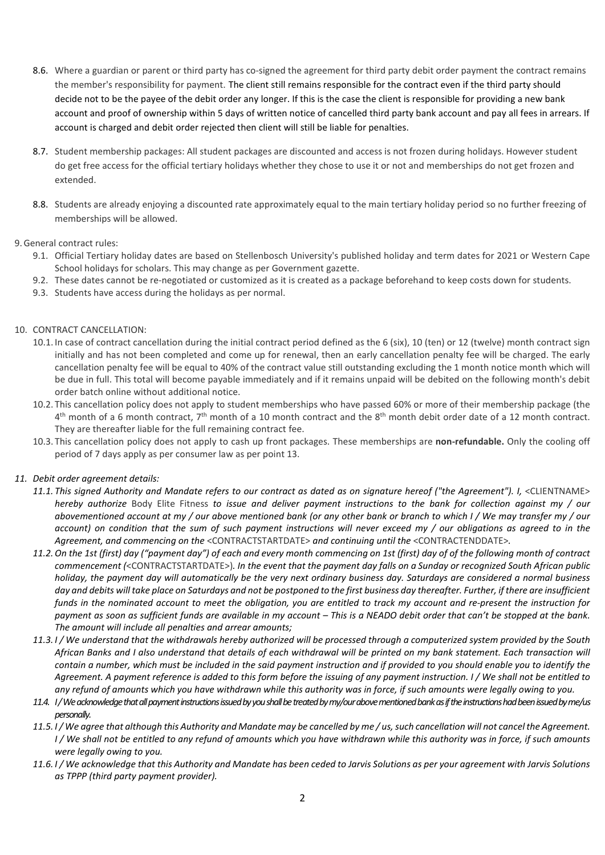- 8.6. Where a guardian or parent or third party has co-signed the agreement for third party debit order payment the contract remains the member's responsibility for payment. The client still remains responsible for the contract even if the third party should decide not to be the payee of the debit order any longer. If this is the case the client is responsible for providing a new bank account and proof of ownership within 5 days of written notice of cancelled third party bank account and pay all fees in arrears. If account is charged and debit order rejected then client will still be liable for penalties.
- 8.7. Student membership packages: All student packages are discounted and access is not frozen during holidays. However student do get free access for the official tertiary holidays whether they chose to use it or not and memberships do not get frozen and extended.
- 8.8. Students are already enjoying a discounted rate approximately equal to the main tertiary holiday period so no further freezing of memberships will be allowed.

# 9.General contract rules:

- 9.1. Official Tertiary holiday dates are based on Stellenbosch University's published holiday and term dates for 2021 or Western Cape School holidays for scholars. This may change as per Government gazette.
- 9.2. These dates cannot be re-negotiated or customized as it is created as a package beforehand to keep costs down for students.
- 9.3. Students have access during the holidays as per normal.

# 10. CONTRACT CANCELLATION:

- 10.1. In case of contract cancellation during the initial contract period defined as the 6 (six), 10 (ten) or 12 (twelve) month contract sign initially and has not been completed and come up for renewal, then an early cancellation penalty fee will be charged. The early cancellation penalty fee will be equal to 40% of the contract value still outstanding excluding the 1 month notice month which will be due in full. This total will become payable immediately and if it remains unpaid will be debited on the following month's debit order batch online without additional notice.
- 10.2. This cancellation policy does not apply to student memberships who have passed 60% or more of their membership package (the  $4<sup>th</sup>$  month of a 6 month contract, 7<sup>th</sup> month of a 10 month contract and the 8<sup>th</sup> month debit order date of a 12 month contract. They are thereafter liable for the full remaining contract fee.
- 10.3. This cancellation policy does not apply to cash up front packages. These memberships are **non-refundable.** Only the cooling off period of 7 days apply as per consumer law as per point 13.

## *11. Debit order agreement details:*

- 11.1. This signed Authority and Mandate refers to our contract as dated as on signature hereof ("the Agreement"). I, <CLIENTNAME> *hereby authorize* Body Elite Fitness *to issue and deliver payment instructions to the bank for collection against my / our abovementioned account at my / our above mentioned bank (or any other bank or branch to which I / We may transfer my / our account) on condition that the sum of such payment instructions will never exceed my / our obligations as agreed to in the Agreement, and commencing on the* <CONTRACTSTARTDATE> *and continuing until the* <CONTRACTENDDATE>*.*
- *11.2.On the 1st (first) day ("payment day") of each and every month commencing on 1st (first) day of of the following month of contract commencement (*<CONTRACTSTARTDATE>)*. In the event that the payment day falls on a Sunday or recognized South African public holiday, the payment day will automatically be the very next ordinary business day. Saturdays are considered a normal business day and debits will take place on Saturdays and not be postponed to the first business day thereafter. Further, if there are insufficient funds in the nominated account to meet the obligation, you are entitled to track my account and re-present the instruction for payment as soon as sufficient funds are available in my account – This is a NEADO debit order that can't be stopped at the bank. The amount will include all penalties and arrear amounts;*
- *11.3. I / We understand that the withdrawals hereby authorized will be processed through a computerized system provided by the South African Banks and I also understand that details of each withdrawal will be printed on my bank statement. Each transaction will contain a number, which must be included in the said payment instruction and if provided to you should enable you to identify the Agreement. A payment reference is added to this form before the issuing of any payment instruction. I / We shall not be entitled to any refund of amounts which you have withdrawn while this authority was in force, if such amounts were legally owing to you.*
- *11.4. I / We acknowledge that all payment instructions issued by you shall be treated by my/our above mentioned bank as if the instructions had been issued by me/us personally.*
- *11.5. I / We agree that although this Authority and Mandate may be cancelled by me / us, such cancellation will not cancel the Agreement. I / We shall not be entitled to any refund of amounts which you have withdrawn while this authority was in force, if such amounts were legally owing to you.*
- *11.6. I / We acknowledge that this Authority and Mandate has been ceded to Jarvis Solutions as per your agreement with Jarvis Solutions as TPPP (third party payment provider).*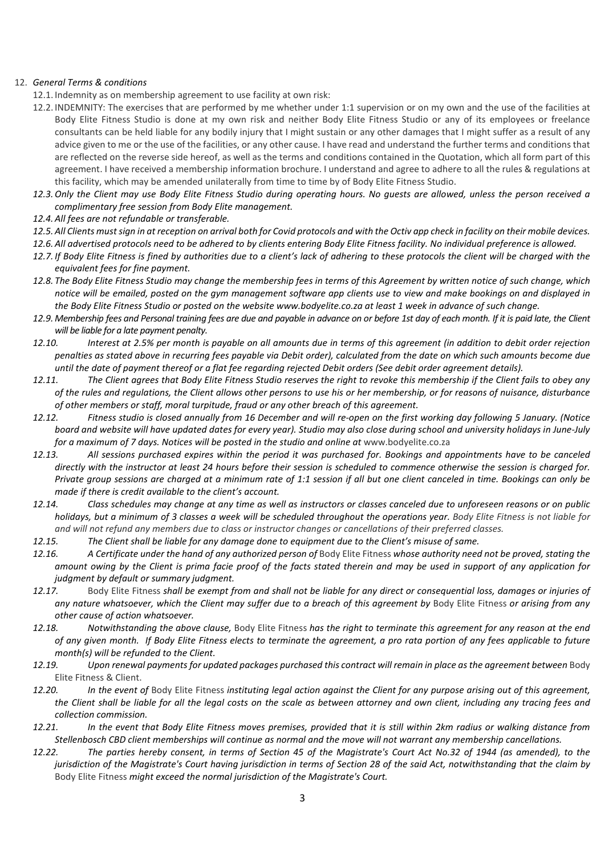## 12. *General Terms & conditions*

- 12.1. Indemnity as on membership agreement to use facility at own risk:
- 12.2. INDEMNITY: The exercises that are performed by me whether under 1:1 supervision or on my own and the use of the facilities at Body Elite Fitness Studio is done at my own risk and neither Body Elite Fitness Studio or any of its employees or freelance consultants can be held liable for any bodily injury that I might sustain or any other damages that I might suffer as a result of any advice given to me or the use of the facilities, or any other cause. I have read and understand the further terms and conditions that are reflected on the reverse side hereof, as well as the terms and conditions contained in the Quotation, which all form part of this agreement. I have received a membership information brochure. I understand and agree to adhere to all the rules & regulations at this facility, which may be amended unilaterally from time to time by of Body Elite Fitness Studio.
- *12.3.Only the Client may use Body Elite Fitness Studio during operating hours. No guests are allowed, unless the person received a complimentary free session from Body Elite management.*
- *12.4.All fees are not refundable or transferable.*
- *12.5.All Clients must sign in at reception on arrival both for Covid protocols and with the Octiv app check in facility on their mobile devices.*
- *12.6.All advertised protocols need to be adhered to by clients entering Body Elite Fitness facility. No individual preference is allowed.*
- *12.7. If Body Elite Fitness is fined by authorities due to a client's lack of adhering to these protocols the client will be charged with the equivalent fees for fine payment.*
- *12.8. The Body Elite Fitness Studio may change the membership fees in terms of this Agreement by written notice of such change, which notice will be emailed, posted on the gym management software app clients use to view and make bookings on and displayed in the Body Elite Fitness Studio or posted on the website www.bodyelite.co.za at least 1 week in advance of such change.*
- *12.9. Membership fees and Personal training fees are due and payable in advance on or before 1st day of each month. If it is paid late, the Client will be liable for a late payment penalty.*
- *12.10. Interest at 2.5% per month is payable on all amounts due in terms of this agreement (in addition to debit order rejection penalties as stated above in recurring fees payable via Debit order), calculated from the date on which such amounts become due until the date of payment thereof or a flat fee regarding rejected Debit orders (See debit order agreement details).*
- *12.11. The Client agrees that Body Elite Fitness Studio reserves the right to revoke this membership if the Client fails to obey any of the rules and regulations, the Client allows other persons to use his or her membership, or for reasons of nuisance, disturbance of other members or staff, moral turpitude, fraud or any other breach of this agreement.*
- *12.12. Fitness studio is closed annually from 16 December and will re-open on the first working day following 5 January. (Notice board and website will have updated dates for every year). Studio may also close during school and university holidays in June-July*  for a maximum of 7 days. Notices will be posted in the studio and online at www.bodyelite.co.za
- *12.13. All sessions purchased expires within the period it was purchased for. Bookings and appointments have to be canceled directly with the instructor at least 24 hours before their session is scheduled to commence otherwise the session is charged for. Private group sessions are charged at a minimum rate of 1:1 session if all but one client canceled in time. Bookings can only be made if there is credit available to the client's account.*
- *12.14. Class schedules may change at any time as well as instructors or classes canceled due to unforeseen reasons or on public holidays, but a minimum of 3 classes a week will be scheduled throughout the operations year. Body Elite Fitness is not liable for and will not refund any members due to class or instructor changes or cancellations of their preferred classes.*
- *12.15. The Client shall be liable for any damage done to equipment due to the Client's misuse of same.*
- *12.16. A Certificate under the hand of any authorized person of* Body Elite Fitness *whose authority need not be proved, stating the amount owing by the Client is prima facie proof of the facts stated therein and may be used in support of any application for judgment by default or summary judgment.*
- *12.17.* Body Elite Fitness *shall be exempt from and shall not be liable for any direct or consequential loss, damages or injuries of any nature whatsoever, which the Client may suffer due to a breach of this agreement by* Body Elite Fitness *or arising from any other cause of action whatsoever.*
- *12.18. Notwithstanding the above clause,* Body Elite Fitness *has the right to terminate this agreement for any reason at the end of any given month. If Body Elite Fitness elects to terminate the agreement, a pro rata portion of any fees applicable to future month(s) will be refunded to the Client.*
- *12.19. Upon renewal payments for updated packages purchased this contract will remain in place as the agreement between* Body Elite Fitness & Client.
- *12.20. In the event of* Body Elite Fitness *instituting legal action against the Client for any purpose arising out of this agreement, the Client shall be liable for all the legal costs on the scale as between attorney and own client, including any tracing fees and collection commission.*
- *12.21. In the event that Body Elite Fitness moves premises, provided that it is still within 2km radius or walking distance from Stellenbosch CBD client memberships will continue as normal and the move will not warrant any membership cancellations.*
- *12.22. The parties hereby consent, in terms of Section 45 of the Magistrate's Court Act No.32 of 1944 (as amended), to the jurisdiction of the Magistrate's Court having jurisdiction in terms of Section 28 of the said Act, notwithstanding that the claim by*  Body Elite Fitness *might exceed the normal jurisdiction of the Magistrate's Court.*